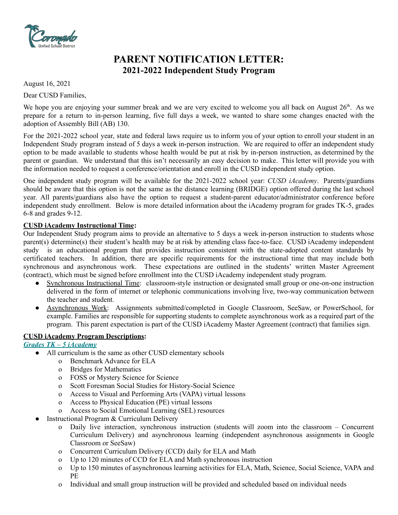

# **PARENT NOTIFICATION LETTER: 2021-2022 Independent Study Program**

August 16, 2021

Dear CUSD Families,

We hope you are enjoying your summer break and we are very excited to welcome you all back on August 26<sup>th</sup>. As we prepare for a return to in-person learning, five full days a week, we wanted to share some changes enacted with the adoption of Assembly Bill (AB) 130.

For the 2021-2022 school year, state and federal laws require us to inform you of your option to enroll your student in an Independent Study program instead of 5 days a week in-person instruction. We are required to offer an independent study option to be made available to students whose health would be put at risk by in-person instruction, as determined by the parent or guardian. We understand that this isn't necessarily an easy decision to make. This letter will provide you with the information needed to request a conference/orientation and enroll in the CUSD independent study option.

One independent study program will be available for the 2021-2022 school year: *CUSD iAcademy*. Parents/guardians should be aware that this option is not the same as the distance learning (BRIDGE) option offered during the last school year. All parents/guardians also have the option to request a student-parent educator/administrator conference before independent study enrollment. Below is more detailed information about the iAcademy program for grades TK-5, grades 6-8 and grades 9-12.

#### **CUSD iAcademy Instructional Time:**

Our Independent Study program aims to provide an alternative to 5 days a week in-person instruction to students whose parent(s) determine(s) their student's health may be at risk by attending class face-to-face. CUSD iAcademy independent study is an educational program that provides instruction consistent with the state-adopted content standards by certificated teachers. In addition, there are specific requirements for the instructional time that may include both synchronous and asynchronous work. These expectations are outlined in the students' written Master Agreement (contract), which must be signed before enrollment into the CUSD iAcademy independent study program.

- Synchronous Instructional Time: classroom-style instruction or designated small group or one-on-one instruction delivered in the form of internet or telephonic communications involving live, two-way communication between the teacher and student.
- Asynchronous Work: Assignments submitted/completed in Google Classroom, SeeSaw, or PowerSchool, for example. Families are responsible for supporting students to complete asynchronous work as a required part of the program. This parent expectation is part of the CUSD iAcademy Master Agreement (contract) that families sign.

## **CUSD iAcademy Program Descriptions:**

## *Grades TK – 5 iAcademy*

- All curriculum is the same as other CUSD elementary schools
	- o Benchmark Advance for ELA
	- o Bridges for Mathematics
	- o FOSS or Mystery Science for Science
	- o Scott Foresman Social Studies for History-Social Science
	- o Access to Visual and Performing Arts (VAPA) virtual lessons
	- o Access to Physical Education (PE) virtual lessons
	- o Access to Social Emotional Learning (SEL) resources
- Instructional Program & Curriculum Delivery
	- o Daily live interaction, synchronous instruction (students will zoom into the classroom Concurrent Curriculum Delivery) and asynchronous learning (independent asynchronous assignments in Google Classroom or SeeSaw)
	- o Concurrent Curriculum Delivery (CCD) daily for ELA and Math
	- o Up to 120 minutes of CCD for ELA and Math synchronous instruction
	- o Up to 150 minutes of asynchronous learning activities for ELA, Math, Science, Social Science, VAPA and PE
	- o Individual and small group instruction will be provided and scheduled based on individual needs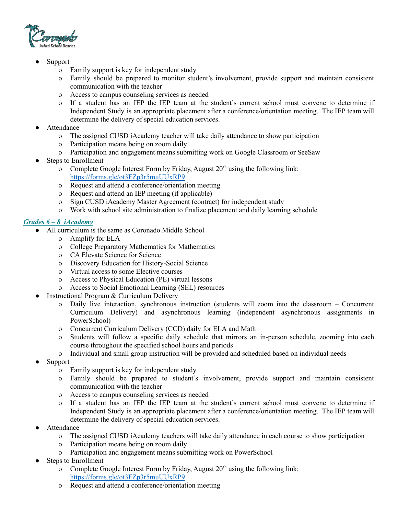

- **Support** 
	- o Family support is key for independent study
	- o Family should be prepared to monitor student's involvement, provide support and maintain consistent communication with the teacher
	- o Access to campus counseling services as needed
	- o If a student has an IEP the IEP team at the student's current school must convene to determine if Independent Study is an appropriate placement after a conference/orientation meeting. The IEP team will determine the delivery of special education services.
- Attendance
	- o The assigned CUSD iAcademy teacher will take daily attendance to show participation
	- o Participation means being on zoom daily
	- o Participation and engagement means submitting work on Google Classroom or SeeSaw
- **Steps to Enrollment** 
	- o Complete Google Interest Form by Friday, August  $20<sup>th</sup>$  using the following link: <https://forms.gle/ot3FZp3r5muUUxRP9>
	- o Request and attend a conference/orientation meeting
	- o Request and attend an IEP meeting (if applicable)
	- o Sign CUSD iAcademy Master Agreement (contract) for independent study
	- o Work with school site administration to finalize placement and daily learning schedule

## *Grades 6 – 8 iAcademy*

- All curriculum is the same as Coronado Middle School
	- o Amplify for ELA
	- o College Preparatory Mathematics for Mathematics
	- o CA Elevate Science for Science
	- o Discovery Education for History-Social Science
	- o Virtual access to some Elective courses
	- o Access to Physical Education (PE) virtual lessons
	- o Access to Social Emotional Learning (SEL) resources
- Instructional Program & Curriculum Delivery
	- o Daily live interaction, synchronous instruction (students will zoom into the classroom Concurrent Curriculum Delivery) and asynchronous learning (independent asynchronous assignments in PowerSchool)
	- o Concurrent Curriculum Delivery (CCD) daily for ELA and Math
	- o Students will follow a specific daily schedule that mirrors an in-person schedule, zooming into each course throughout the specified school hours and periods
	- o Individual and small group instruction will be provided and scheduled based on individual needs
- **Support** 
	- o Family support is key for independent study
	- o Family should be prepared to student's involvement, provide support and maintain consistent communication with the teacher
	- o Access to campus counseling services as needed
	- o If a student has an IEP the IEP team at the student's current school must convene to determine if Independent Study is an appropriate placement after a conference/orientation meeting. The IEP team will determine the delivery of special education services.
- Attendance
	- o The assigned CUSD iAcademy teachers will take daily attendance in each course to show participation
	- o Participation means being on zoom daily
	- o Participation and engagement means submitting work on PowerSchool
- **Steps to Enrollment** 
	- o Complete Google Interest Form by Friday, August  $20<sup>th</sup>$  using the following link: <https://forms.gle/ot3FZp3r5muUUxRP9>
	- o Request and attend a conference/orientation meeting